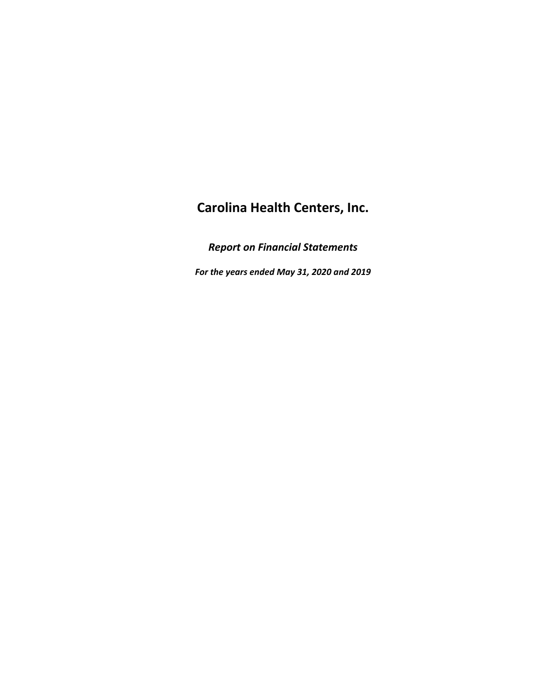*Report on Financial Statements*

*For the years ended May 31, 2020 and 2019*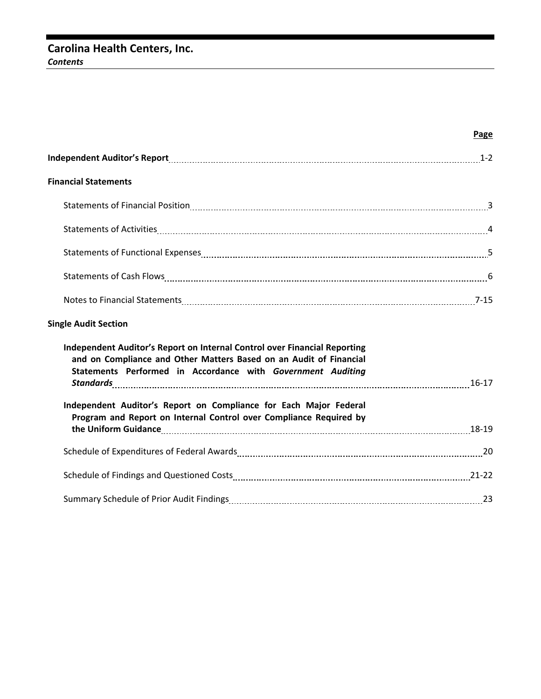## **Carolina Health Centers, Inc.** *Contents*

| Independent Auditor's Report [110] notion and the control of the Australian Control of the Marian Control of t                                                                                                 |  |
|----------------------------------------------------------------------------------------------------------------------------------------------------------------------------------------------------------------|--|
| <b>Financial Statements</b>                                                                                                                                                                                    |  |
|                                                                                                                                                                                                                |  |
|                                                                                                                                                                                                                |  |
|                                                                                                                                                                                                                |  |
|                                                                                                                                                                                                                |  |
|                                                                                                                                                                                                                |  |
| <b>Single Audit Section</b>                                                                                                                                                                                    |  |
| Independent Auditor's Report on Internal Control over Financial Reporting<br>and on Compliance and Other Matters Based on an Audit of Financial<br>Statements Performed in Accordance with Government Auditing |  |
| Standards 2008 16-17                                                                                                                                                                                           |  |
| Independent Auditor's Report on Compliance for Each Major Federal<br>Program and Report on Internal Control over Compliance Required by                                                                        |  |
| the Uniform Guidance [18-19] [18-19] [18-29] [18-29] [18-29] [18-29] [18-29] [19-20] [18-20] [18-20] [18-20] [                                                                                                 |  |
|                                                                                                                                                                                                                |  |
|                                                                                                                                                                                                                |  |
|                                                                                                                                                                                                                |  |

**Page**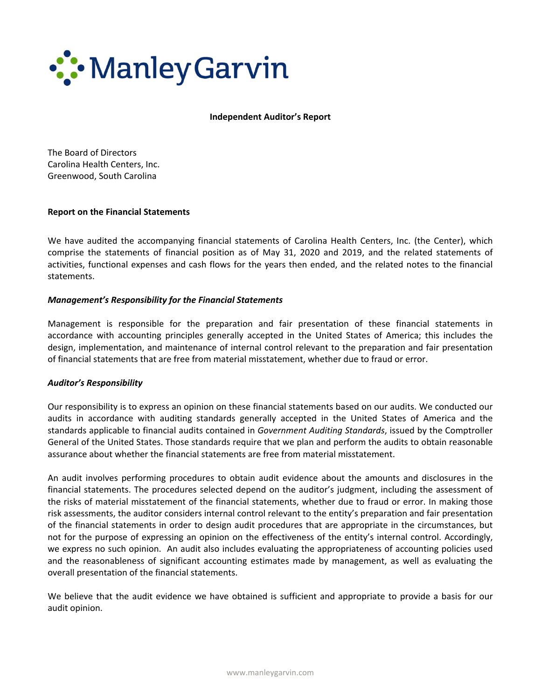

#### **Independent Auditor's Report**

The Board of Directors Carolina Health Centers, Inc. Greenwood, South Carolina

#### **Report on the Financial Statements**

We have audited the accompanying financial statements of Carolina Health Centers, Inc. (the Center), which comprise the statements of financial position as of May 31, 2020 and 2019, and the related statements of activities, functional expenses and cash flows for the years then ended, and the related notes to the financial statements.

#### *Management's Responsibility for the Financial Statements*

Management is responsible for the preparation and fair presentation of these financial statements in accordance with accounting principles generally accepted in the United States of America; this includes the design, implementation, and maintenance of internal control relevant to the preparation and fair presentation of financial statements that are free from material misstatement, whether due to fraud or error.

#### *Auditor's Responsibility*

Our responsibility is to express an opinion on these financial statements based on our audits. We conducted our audits in accordance with auditing standards generally accepted in the United States of America and the standards applicable to financial audits contained in *Government Auditing Standards*, issued by the Comptroller General of the United States. Those standards require that we plan and perform the audits to obtain reasonable assurance about whether the financial statements are free from material misstatement.

An audit involves performing procedures to obtain audit evidence about the amounts and disclosures in the financial statements. The procedures selected depend on the auditor's judgment, including the assessment of the risks of material misstatement of the financial statements, whether due to fraud or error. In making those risk assessments, the auditor considers internal control relevant to the entity's preparation and fair presentation of the financial statements in order to design audit procedures that are appropriate in the circumstances, but not for the purpose of expressing an opinion on the effectiveness of the entity's internal control. Accordingly, we express no such opinion. An audit also includes evaluating the appropriateness of accounting policies used and the reasonableness of significant accounting estimates made by management, as well as evaluating the overall presentation of the financial statements.

We believe that the audit evidence we have obtained is sufficient and appropriate to provide a basis for our audit opinion.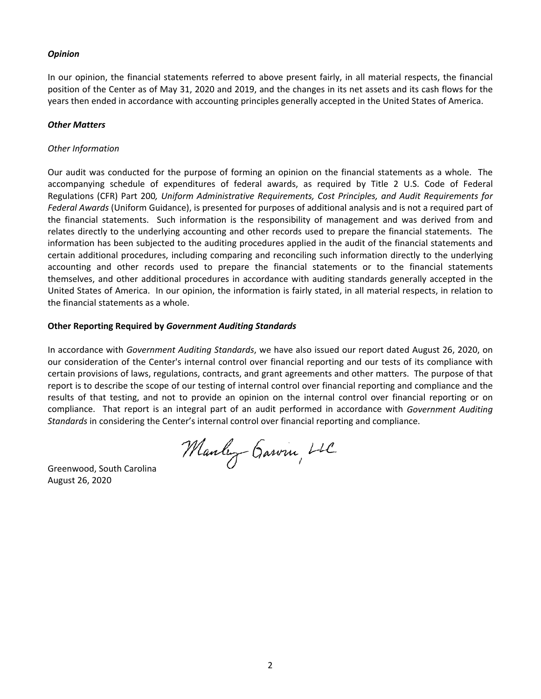#### *Opinion*

In our opinion, the financial statements referred to above present fairly, in all material respects, the financial position of the Center as of May 31, 2020 and 2019, and the changes in its net assets and its cash flows for the years then ended in accordance with accounting principles generally accepted in the United States of America.

#### *Other Matters*

#### *Other Information*

Our audit was conducted for the purpose of forming an opinion on the financial statements as a whole. The accompanying schedule of expenditures of federal awards, as required by Title 2 U.S. Code of Federal Regulations (CFR) Part 200*, Uniform Administrative Requirements, Cost Principles, and Audit Requirements for Federal Awards* (Uniform Guidance), is presented for purposes of additional analysis and is not a required part of the financial statements. Such information is the responsibility of management and was derived from and relates directly to the underlying accounting and other records used to prepare the financial statements. The information has been subjected to the auditing procedures applied in the audit of the financial statements and certain additional procedures, including comparing and reconciling such information directly to the underlying accounting and other records used to prepare the financial statements or to the financial statements themselves, and other additional procedures in accordance with auditing standards generally accepted in the United States of America. In our opinion, the information is fairly stated, in all material respects, in relation to the financial statements as a whole.

#### **Other Reporting Required by** *Government Auditing Standards*

In accordance with *Government Auditing Standards*, we have also issued our report dated August 26, 2020, on our consideration of the Center's internal control over financial reporting and our tests of its compliance with certain provisions of laws, regulations, contracts, and grant agreements and other matters. The purpose of that report is to describe the scope of our testing of internal control over financial reporting and compliance and the results of that testing, and not to provide an opinion on the internal control over financial reporting or on compliance. That report is an integral part of an audit performed in accordance with *Government Auditing Standards* in considering the Center's internal control over financial reporting and compliance.

Manley Gawin, LLC

Greenwood, South Carolina August 26, 2020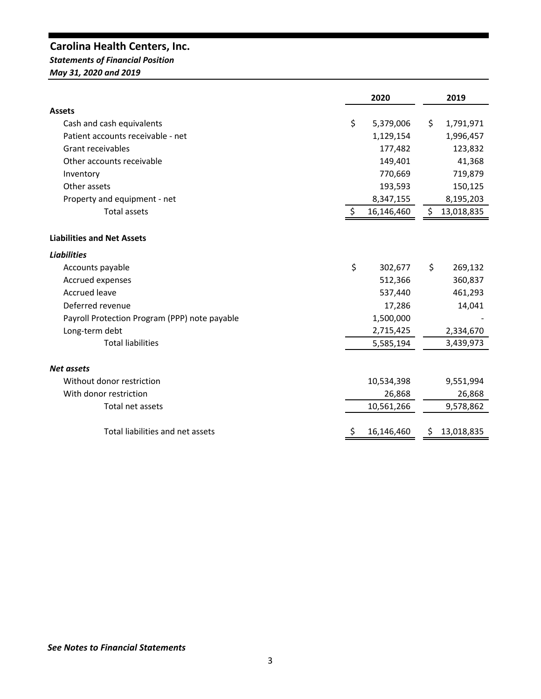### *Statements of Financial Position*

*May 31, 2020 and 2019*

|                                               | 2020 |            | 2019             |  |
|-----------------------------------------------|------|------------|------------------|--|
| <b>Assets</b>                                 |      |            |                  |  |
| Cash and cash equivalents                     | \$   | 5,379,006  | \$<br>1,791,971  |  |
| Patient accounts receivable - net             |      | 1,129,154  | 1,996,457        |  |
| Grant receivables                             |      | 177,482    | 123,832          |  |
| Other accounts receivable                     |      | 149,401    | 41,368           |  |
| Inventory                                     |      | 770,669    | 719,879          |  |
| Other assets                                  |      | 193,593    | 150,125          |  |
| Property and equipment - net                  |      | 8,347,155  | 8,195,203        |  |
| <b>Total assets</b>                           | \$   | 16,146,460 | \$<br>13,018,835 |  |
| <b>Liabilities and Net Assets</b>             |      |            |                  |  |
| <b>Liabilities</b>                            |      |            |                  |  |
| Accounts payable                              | \$   | 302,677    | \$<br>269,132    |  |
| Accrued expenses                              |      | 512,366    | 360,837          |  |
| <b>Accrued leave</b>                          |      | 537,440    | 461,293          |  |
| Deferred revenue                              |      | 17,286     | 14,041           |  |
| Payroll Protection Program (PPP) note payable |      | 1,500,000  |                  |  |
| Long-term debt                                |      | 2,715,425  | 2,334,670        |  |
| <b>Total liabilities</b>                      |      | 5,585,194  | 3,439,973        |  |
| <b>Net assets</b>                             |      |            |                  |  |
| Without donor restriction                     |      | 10,534,398 | 9,551,994        |  |
| With donor restriction                        |      | 26,868     | 26,868           |  |
| Total net assets                              |      | 10,561,266 | 9,578,862        |  |
| Total liabilities and net assets              | S    | 16,146,460 | \$<br>13,018,835 |  |

*See Notes to Financial Statements*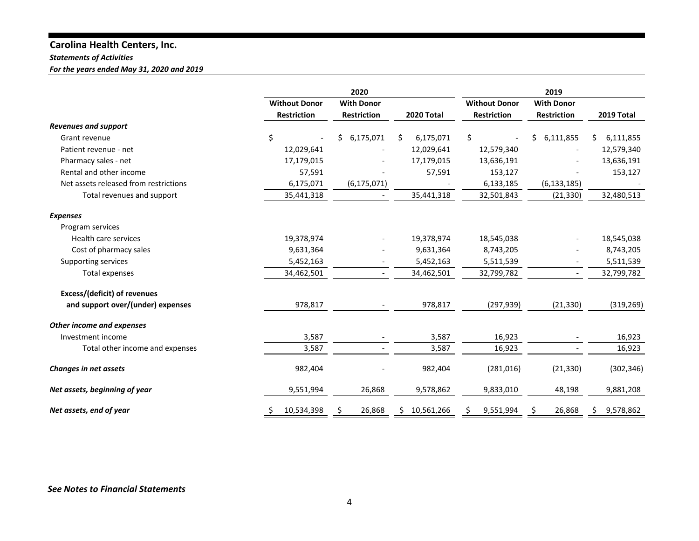#### *Statements of Activities*

#### *For the years ended May 31, 2020 and 2019*

|                                       | 2020                                       |                                         |                   | 2019                                       |                                         |                 |
|---------------------------------------|--------------------------------------------|-----------------------------------------|-------------------|--------------------------------------------|-----------------------------------------|-----------------|
|                                       | <b>Without Donor</b><br><b>Restriction</b> | <b>With Donor</b><br><b>Restriction</b> | <b>2020 Total</b> | <b>Without Donor</b><br><b>Restriction</b> | <b>With Donor</b><br><b>Restriction</b> | 2019 Total      |
| <b>Revenues and support</b>           |                                            |                                         |                   |                                            |                                         |                 |
| Grant revenue                         | \$                                         | \$6,175,071                             | 6,175,071<br>Ś.   | \$                                         | Ś.<br>6,111,855                         | 6,111,855<br>Ś. |
| Patient revenue - net                 | 12,029,641                                 |                                         | 12,029,641        | 12,579,340                                 |                                         | 12,579,340      |
| Pharmacy sales - net                  | 17,179,015                                 |                                         | 17,179,015        | 13,636,191                                 |                                         | 13,636,191      |
| Rental and other income               | 57,591                                     |                                         | 57,591            | 153,127                                    |                                         | 153,127         |
| Net assets released from restrictions | 6,175,071                                  | (6, 175, 071)                           |                   | 6,133,185                                  | (6, 133, 185)                           |                 |
| Total revenues and support            | 35,441,318                                 |                                         | 35,441,318        | 32,501,843                                 | (21, 330)                               | 32,480,513      |
| <b>Expenses</b>                       |                                            |                                         |                   |                                            |                                         |                 |
| Program services                      |                                            |                                         |                   |                                            |                                         |                 |
| Health care services                  | 19,378,974                                 |                                         | 19,378,974        | 18,545,038                                 |                                         | 18,545,038      |
| Cost of pharmacy sales                | 9,631,364                                  |                                         | 9,631,364         | 8,743,205                                  |                                         | 8,743,205       |
| Supporting services                   | 5,452,163                                  |                                         | 5,452,163         | 5,511,539                                  | $\overline{\phantom{a}}$                | 5,511,539       |
| Total expenses                        | 34,462,501                                 |                                         | 34,462,501        | 32,799,782                                 | $\overline{\phantom{0}}$                | 32,799,782      |
| <b>Excess/(deficit) of revenues</b>   |                                            |                                         |                   |                                            |                                         |                 |
| and support over/(under) expenses     | 978,817                                    |                                         | 978,817           | (297, 939)                                 | (21, 330)                               | (319, 269)      |
| Other income and expenses             |                                            |                                         |                   |                                            |                                         |                 |
| Investment income                     | 3,587                                      |                                         | 3,587             | 16,923                                     |                                         | 16,923          |
| Total other income and expenses       | 3,587                                      |                                         | 3,587             | 16,923                                     |                                         | 16,923          |
| <b>Changes in net assets</b>          | 982,404                                    |                                         | 982,404           | (281, 016)                                 | (21, 330)                               | (302, 346)      |
| Net assets, beginning of year         | 9,551,994                                  | 26,868                                  | 9,578,862         | 9,833,010                                  | 48,198                                  | 9,881,208       |
| Net assets, end of year               | 10,534,398                                 | 26,868                                  | 10,561,266        | 9,551,994                                  | 26,868                                  | 9,578,862<br>S  |

### *See Notes to Financial Statements*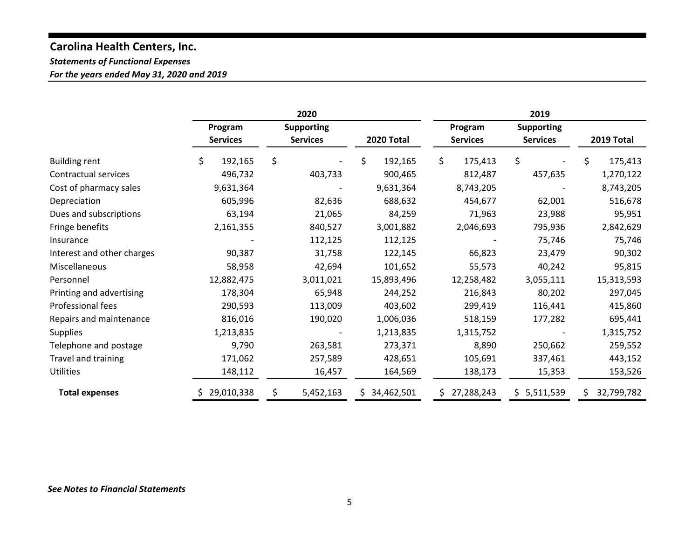## **Carolina Health Centers, Inc.** *Statements of Functional Expenses*

## *For the years ended May 31, 2020 and 2019*

|                            |                 | 2020              |               |                 | 2019              |               |
|----------------------------|-----------------|-------------------|---------------|-----------------|-------------------|---------------|
|                            | Program         | <b>Supporting</b> |               | Program         | <b>Supporting</b> |               |
|                            | <b>Services</b> | <b>Services</b>   | 2020 Total    | <b>Services</b> | <b>Services</b>   | 2019 Total    |
| <b>Building rent</b>       | 192,165<br>\$   | \$                | \$<br>192,165 | \$<br>175,413   | \$                | \$<br>175,413 |
| Contractual services       | 496,732         | 403,733           | 900,465       | 812,487         | 457,635           | 1,270,122     |
| Cost of pharmacy sales     | 9,631,364       |                   | 9,631,364     | 8,743,205       |                   | 8,743,205     |
| Depreciation               | 605,996         | 82,636            | 688,632       | 454,677         | 62,001            | 516,678       |
| Dues and subscriptions     | 63,194          | 21,065            | 84,259        | 71,963          | 23,988            | 95,951        |
| Fringe benefits            | 2,161,355       | 840,527           | 3,001,882     | 2,046,693       | 795,936           | 2,842,629     |
| Insurance                  |                 | 112,125           | 112,125       |                 | 75,746            | 75,746        |
| Interest and other charges | 90,387          | 31,758            | 122,145       | 66,823          | 23,479            | 90,302        |
| Miscellaneous              | 58,958          | 42,694            | 101,652       | 55,573          | 40,242            | 95,815        |
| Personnel                  | 12,882,475      | 3,011,021         | 15,893,496    | 12,258,482      | 3,055,111         | 15,313,593    |
| Printing and advertising   | 178,304         | 65,948            | 244,252       | 216,843         | 80,202            | 297,045       |
| Professional fees          | 290,593         | 113,009           | 403,602       | 299,419         | 116,441           | 415,860       |
| Repairs and maintenance    | 816,016         | 190,020           | 1,006,036     | 518,159         | 177,282           | 695,441       |
| <b>Supplies</b>            | 1,213,835       |                   | 1,213,835     | 1,315,752       |                   | 1,315,752     |
| Telephone and postage      | 9,790           | 263,581           | 273,371       | 8,890           | 250,662           | 259,552       |
| Travel and training        | 171,062         | 257,589           | 428,651       | 105,691         | 337,461           | 443,152       |
| <b>Utilities</b>           | 148,112         | 16,457            | 164,569       | 138,173         | 15,353            | 153,526       |
| <b>Total expenses</b>      | 29,010,338      | 5,452,163         | 34,462,501    | 27,288,243      | \$5,511,539       | 32,799,782    |

#### *See Notes to Financial Statements*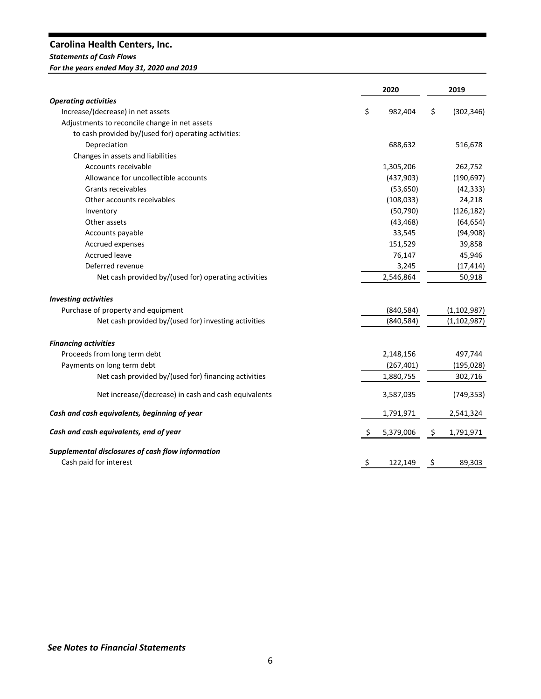*Statements of Cash Flows*

*For the years ended May 31, 2020 and 2019*

|                                                      | 2020            |    | 2019          |  |
|------------------------------------------------------|-----------------|----|---------------|--|
| <b>Operating activities</b>                          |                 |    |               |  |
| Increase/(decrease) in net assets                    | \$<br>982,404   | \$ | (302, 346)    |  |
| Adjustments to reconcile change in net assets        |                 |    |               |  |
| to cash provided by/(used for) operating activities: |                 |    |               |  |
| Depreciation                                         | 688,632         |    | 516,678       |  |
| Changes in assets and liabilities                    |                 |    |               |  |
| Accounts receivable                                  | 1,305,206       |    | 262,752       |  |
| Allowance for uncollectible accounts                 | (437,903)       |    | (190, 697)    |  |
| Grants receivables                                   | (53, 650)       |    | (42, 333)     |  |
| Other accounts receivables                           | (108, 033)      |    | 24,218        |  |
| Inventory                                            | (50, 790)       |    | (126, 182)    |  |
| Other assets                                         | (43, 468)       |    | (64, 654)     |  |
| Accounts payable                                     | 33,545          |    | (94, 908)     |  |
| Accrued expenses                                     | 151,529         |    | 39,858        |  |
| <b>Accrued leave</b>                                 | 76,147          |    | 45,946        |  |
| Deferred revenue                                     | 3,245           |    | (17, 414)     |  |
| Net cash provided by/(used for) operating activities | 2,546,864       |    | 50,918        |  |
| <b>Investing activities</b>                          |                 |    |               |  |
| Purchase of property and equipment                   | (840, 584)      |    | (1, 102, 987) |  |
| Net cash provided by/(used for) investing activities | (840, 584)      |    | (1, 102, 987) |  |
| <b>Financing activities</b>                          |                 |    |               |  |
| Proceeds from long term debt                         | 2,148,156       |    | 497,744       |  |
| Payments on long term debt                           | (267, 401)      |    | (195, 028)    |  |
| Net cash provided by/(used for) financing activities | 1,880,755       |    | 302,716       |  |
| Net increase/(decrease) in cash and cash equivalents | 3,587,035       |    | (749, 353)    |  |
| Cash and cash equivalents, beginning of year         | 1,791,971       |    | 2,541,324     |  |
| Cash and cash equivalents, end of year               | \$<br>5,379,006 | \$ | 1,791,971     |  |
| Supplemental disclosures of cash flow information    |                 |    |               |  |
| Cash paid for interest                               | \$<br>122,149   | \$ | 89,303        |  |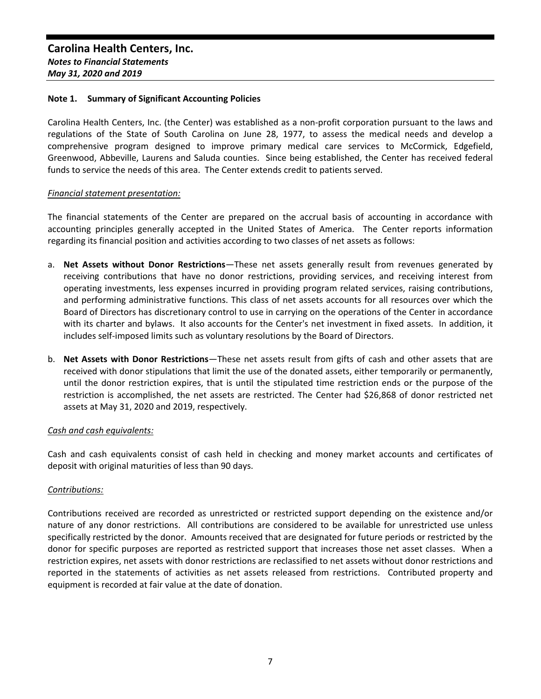#### **Note 1. Summary of Significant Accounting Policies**

Carolina Health Centers, Inc. (the Center) was established as a non‐profit corporation pursuant to the laws and regulations of the State of South Carolina on June 28, 1977, to assess the medical needs and develop a comprehensive program designed to improve primary medical care services to McCormick, Edgefield, Greenwood, Abbeville, Laurens and Saluda counties. Since being established, the Center has received federal funds to service the needs of this area. The Center extends credit to patients served.

#### *Financial statement presentation:*

The financial statements of the Center are prepared on the accrual basis of accounting in accordance with accounting principles generally accepted in the United States of America. The Center reports information regarding its financial position and activities according to two classes of net assets as follows:

- a. **Net Assets without Donor Restrictions**—These net assets generally result from revenues generated by receiving contributions that have no donor restrictions, providing services, and receiving interest from operating investments, less expenses incurred in providing program related services, raising contributions, and performing administrative functions. This class of net assets accounts for all resources over which the Board of Directors has discretionary control to use in carrying on the operations of the Center in accordance with its charter and bylaws. It also accounts for the Center's net investment in fixed assets. In addition, it includes self‐imposed limits such as voluntary resolutions by the Board of Directors.
- b. **Net Assets with Donor Restrictions**—These net assets result from gifts of cash and other assets that are received with donor stipulations that limit the use of the donated assets, either temporarily or permanently, until the donor restriction expires, that is until the stipulated time restriction ends or the purpose of the restriction is accomplished, the net assets are restricted. The Center had \$26,868 of donor restricted net assets at May 31, 2020 and 2019, respectively.

#### *Cash and cash equivalents:*

Cash and cash equivalents consist of cash held in checking and money market accounts and certificates of deposit with original maturities of less than 90 days.

#### *Contributions:*

Contributions received are recorded as unrestricted or restricted support depending on the existence and/or nature of any donor restrictions. All contributions are considered to be available for unrestricted use unless specifically restricted by the donor. Amounts received that are designated for future periods or restricted by the donor for specific purposes are reported as restricted support that increases those net asset classes. When a restriction expires, net assets with donor restrictions are reclassified to net assets without donor restrictions and reported in the statements of activities as net assets released from restrictions. Contributed property and equipment is recorded at fair value at the date of donation.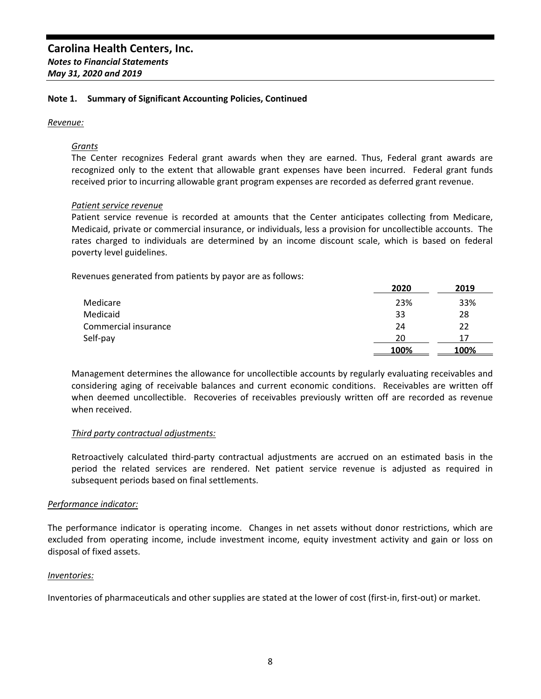#### **Note 1. Summary of Significant Accounting Policies, Continued**

#### *Revenue:*

#### *Grants*

The Center recognizes Federal grant awards when they are earned. Thus, Federal grant awards are recognized only to the extent that allowable grant expenses have been incurred. Federal grant funds received prior to incurring allowable grant program expenses are recorded as deferred grant revenue.

#### *Patient service revenue*

Patient service revenue is recorded at amounts that the Center anticipates collecting from Medicare, Medicaid, private or commercial insurance, or individuals, less a provision for uncollectible accounts. The rates charged to individuals are determined by an income discount scale, which is based on federal poverty level guidelines.

Revenues generated from patients by payor are as follows:

|                      | 2020        | 2019        |
|----------------------|-------------|-------------|
| Medicare             | 23%         | 33%         |
| Medicaid             | 33          | 28          |
| Commercial insurance | 24          | 22          |
| Self-pay             | 20          | 17          |
|                      | <b>100%</b> | <u>100%</u> |

Management determines the allowance for uncollectible accounts by regularly evaluating receivables and considering aging of receivable balances and current economic conditions. Receivables are written off when deemed uncollectible. Recoveries of receivables previously written off are recorded as revenue when received.

#### *Third party contractual adjustments:*

Retroactively calculated third-party contractual adjustments are accrued on an estimated basis in the period the related services are rendered. Net patient service revenue is adjusted as required in subsequent periods based on final settlements.

#### *Performance indicator:*

The performance indicator is operating income. Changes in net assets without donor restrictions, which are excluded from operating income, include investment income, equity investment activity and gain or loss on disposal of fixed assets.

#### *Inventories:*

Inventories of pharmaceuticals and other supplies are stated at the lower of cost (first‐in, first‐out) or market.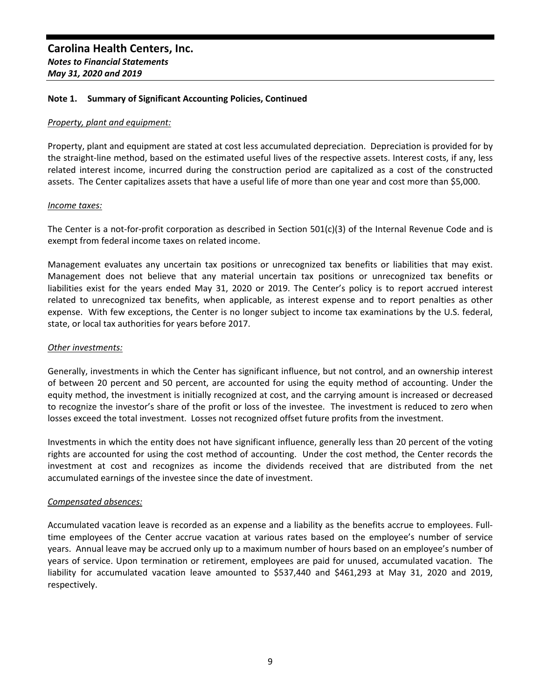#### **Note 1. Summary of Significant Accounting Policies, Continued**

#### *Property, plant and equipment:*

Property, plant and equipment are stated at cost less accumulated depreciation. Depreciation is provided for by the straight‐line method, based on the estimated useful lives of the respective assets. Interest costs, if any, less related interest income, incurred during the construction period are capitalized as a cost of the constructed assets. The Center capitalizes assets that have a useful life of more than one year and cost more than \$5,000.

#### *Income taxes:*

The Center is a not-for-profit corporation as described in Section  $501(c)(3)$  of the Internal Revenue Code and is exempt from federal income taxes on related income.

Management evaluates any uncertain tax positions or unrecognized tax benefits or liabilities that may exist. Management does not believe that any material uncertain tax positions or unrecognized tax benefits or liabilities exist for the years ended May 31, 2020 or 2019. The Center's policy is to report accrued interest related to unrecognized tax benefits, when applicable, as interest expense and to report penalties as other expense. With few exceptions, the Center is no longer subject to income tax examinations by the U.S. federal, state, or local tax authorities for years before 2017.

#### *Other investments:*

Generally, investments in which the Center has significant influence, but not control, and an ownership interest of between 20 percent and 50 percent, are accounted for using the equity method of accounting. Under the equity method, the investment is initially recognized at cost, and the carrying amount is increased or decreased to recognize the investor's share of the profit or loss of the investee. The investment is reduced to zero when losses exceed the total investment. Losses not recognized offset future profits from the investment.

Investments in which the entity does not have significant influence, generally less than 20 percent of the voting rights are accounted for using the cost method of accounting. Under the cost method, the Center records the investment at cost and recognizes as income the dividends received that are distributed from the net accumulated earnings of the investee since the date of investment.

#### *Compensated absences:*

Accumulated vacation leave is recorded as an expense and a liability as the benefits accrue to employees. Full‐ time employees of the Center accrue vacation at various rates based on the employee's number of service years. Annual leave may be accrued only up to a maximum number of hours based on an employee's number of years of service. Upon termination or retirement, employees are paid for unused, accumulated vacation. The liability for accumulated vacation leave amounted to \$537,440 and \$461,293 at May 31, 2020 and 2019, respectively.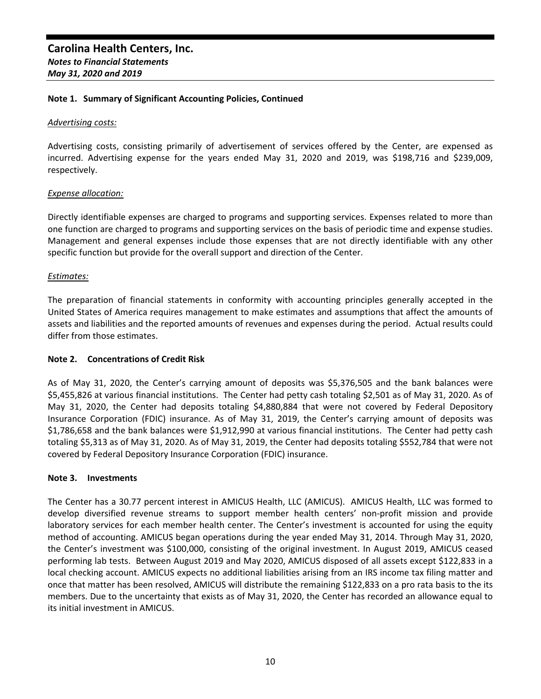#### **Note 1. Summary of Significant Accounting Policies, Continued**

#### *Advertising costs:*

Advertising costs, consisting primarily of advertisement of services offered by the Center, are expensed as incurred. Advertising expense for the years ended May 31, 2020 and 2019, was \$198,716 and \$239,009, respectively.

#### *Expense allocation:*

Directly identifiable expenses are charged to programs and supporting services. Expenses related to more than one function are charged to programs and supporting services on the basis of periodic time and expense studies. Management and general expenses include those expenses that are not directly identifiable with any other specific function but provide for the overall support and direction of the Center.

#### *Estimates:*

The preparation of financial statements in conformity with accounting principles generally accepted in the United States of America requires management to make estimates and assumptions that affect the amounts of assets and liabilities and the reported amounts of revenues and expenses during the period. Actual results could differ from those estimates.

#### **Note 2. Concentrations of Credit Risk**

As of May 31, 2020, the Center's carrying amount of deposits was \$5,376,505 and the bank balances were \$5,455,826 at various financial institutions. The Center had petty cash totaling \$2,501 as of May 31, 2020. As of May 31, 2020, the Center had deposits totaling \$4,880,884 that were not covered by Federal Depository Insurance Corporation (FDIC) insurance. As of May 31, 2019, the Center's carrying amount of deposits was \$1,786,658 and the bank balances were \$1,912,990 at various financial institutions. The Center had petty cash totaling \$5,313 as of May 31, 2020. As of May 31, 2019, the Center had deposits totaling \$552,784 that were not covered by Federal Depository Insurance Corporation (FDIC) insurance.

#### **Note 3. Investments**

The Center has a 30.77 percent interest in AMICUS Health, LLC (AMICUS). AMICUS Health, LLC was formed to develop diversified revenue streams to support member health centers' non‐profit mission and provide laboratory services for each member health center. The Center's investment is accounted for using the equity method of accounting. AMICUS began operations during the year ended May 31, 2014. Through May 31, 2020, the Center's investment was \$100,000, consisting of the original investment. In August 2019, AMICUS ceased performing lab tests. Between August 2019 and May 2020, AMICUS disposed of all assets except \$122,833 in a local checking account. AMICUS expects no additional liabilities arising from an IRS income tax filing matter and once that matter has been resolved, AMICUS will distribute the remaining \$122,833 on a pro rata basis to the its members. Due to the uncertainty that exists as of May 31, 2020, the Center has recorded an allowance equal to its initial investment in AMICUS.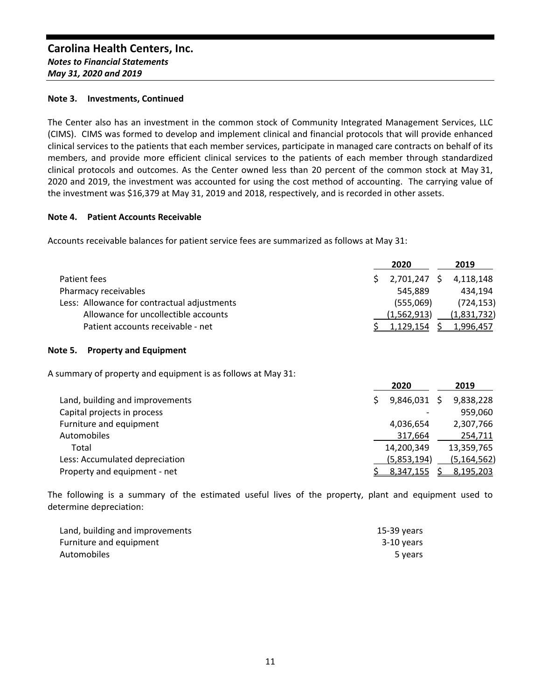#### **Note 3. Investments, Continued**

The Center also has an investment in the common stock of Community Integrated Management Services, LLC (CIMS). CIMS was formed to develop and implement clinical and financial protocols that will provide enhanced clinical services to the patients that each member services, participate in managed care contracts on behalf of its members, and provide more efficient clinical services to the patients of each member through standardized clinical protocols and outcomes. As the Center owned less than 20 percent of the common stock at May 31, 2020 and 2019, the investment was accounted for using the cost method of accounting. The carrying value of the investment was \$16,379 at May 31, 2019 and 2018, respectively, and is recorded in other assets.

#### **Note 4. Patient Accounts Receivable**

Accounts receivable balances for patient service fees are summarized as follows at May 31:

|                                             | 2020              | 2019        |
|---------------------------------------------|-------------------|-------------|
| Patient fees                                | 2,701,247<br>- \$ | 4,118,148   |
| Pharmacy receivables                        | 545.889           | 434,194     |
| Less: Allowance for contractual adjustments | (555,069)         | (724, 153)  |
| Allowance for uncollectible accounts        | (1,562,913)       | (1,831,732) |
| Patient accounts receivable - net           | 1.129.154         | 1,996,457   |

#### **Note 5. Property and Equipment**

A summary of property and equipment is as follows at May 31:

|                                 | 2020        | 2019          |
|---------------------------------|-------------|---------------|
| Land, building and improvements | 9,846,031   | 9,838,228     |
| Capital projects in process     |             | 959,060       |
| Furniture and equipment         | 4,036,654   | 2,307,766     |
| Automobiles                     | 317,664     | 254,711       |
| Total                           | 14,200,349  | 13,359,765    |
| Less: Accumulated depreciation  | (5,853,194) | (5, 164, 562) |
| Property and equipment - net    | 8,347,155   | 8,195,203     |

The following is a summary of the estimated useful lives of the property, plant and equipment used to determine depreciation:

| Land, building and improvements | 15-39 vears |
|---------------------------------|-------------|
| Furniture and equipment         | 3-10 years  |
| Automobiles                     | 5 years     |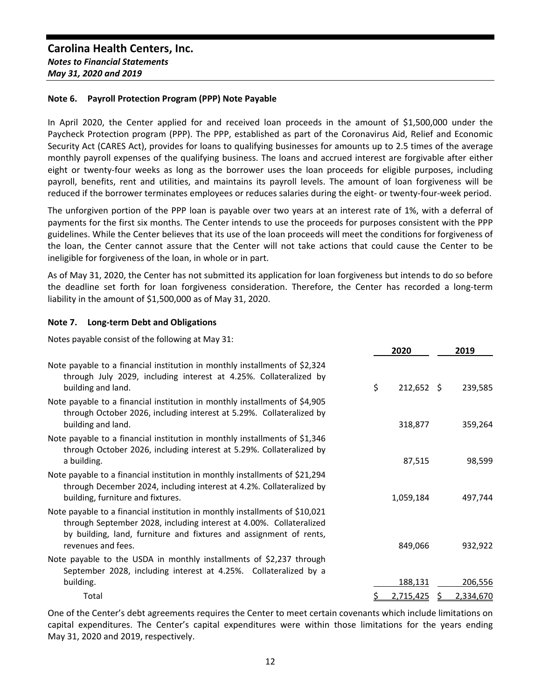#### **Note 6. Payroll Protection Program (PPP) Note Payable**

In April 2020, the Center applied for and received loan proceeds in the amount of \$1,500,000 under the Paycheck Protection program (PPP). The PPP, established as part of the Coronavirus Aid, Relief and Economic Security Act (CARES Act), provides for loans to qualifying businesses for amounts up to 2.5 times of the average monthly payroll expenses of the qualifying business. The loans and accrued interest are forgivable after either eight or twenty-four weeks as long as the borrower uses the loan proceeds for eligible purposes, including payroll, benefits, rent and utilities, and maintains its payroll levels. The amount of loan forgiveness will be reduced if the borrower terminates employees or reduces salaries during the eight- or twenty-four-week period.

The unforgiven portion of the PPP loan is payable over two years at an interest rate of 1%, with a deferral of payments for the first six months. The Center intends to use the proceeds for purposes consistent with the PPP guidelines. While the Center believes that its use of the loan proceeds will meet the conditions for forgiveness of the loan, the Center cannot assure that the Center will not take actions that could cause the Center to be ineligible for forgiveness of the loan, in whole or in part.

As of May 31, 2020, the Center has not submitted its application for loan forgiveness but intends to do so before the deadline set forth for loan forgiveness consideration. Therefore, the Center has recorded a long-term liability in the amount of \$1,500,000 as of May 31, 2020.

#### **Note 7. Long‐term Debt and Obligations**

Notes payable consist of the following at May 31:

|                                                                                                                                                                                                                                                | 2020               | 2019      |
|------------------------------------------------------------------------------------------------------------------------------------------------------------------------------------------------------------------------------------------------|--------------------|-----------|
| Note payable to a financial institution in monthly installments of \$2,324<br>through July 2029, including interest at 4.25%. Collateralized by<br>building and land.                                                                          | \$<br>$212,652$ \$ | 239,585   |
| Note payable to a financial institution in monthly installments of \$4,905<br>through October 2026, including interest at 5.29%. Collateralized by<br>building and land.                                                                       | 318,877            | 359,264   |
| Note payable to a financial institution in monthly installments of \$1,346<br>through October 2026, including interest at 5.29%. Collateralized by<br>a building.                                                                              | 87,515             | 98,599    |
| Note payable to a financial institution in monthly installments of \$21,294<br>through December 2024, including interest at 4.2%. Collateralized by<br>building, furniture and fixtures.                                                       | 1,059,184          | 497,744   |
| Note payable to a financial institution in monthly installments of \$10,021<br>through September 2028, including interest at 4.00%. Collateralized<br>by building, land, furniture and fixtures and assignment of rents,<br>revenues and fees. | 849,066            | 932,922   |
| Note payable to the USDA in monthly installments of \$2,237 through<br>September 2028, including interest at 4.25%. Collateralized by a                                                                                                        |                    |           |
| building.                                                                                                                                                                                                                                      | 188,131            | 206,556   |
| Total                                                                                                                                                                                                                                          | 2,715,425          | 2,334,670 |

One of the Center's debt agreements requires the Center to meet certain covenants which include limitations on capital expenditures. The Center's capital expenditures were within those limitations for the years ending May 31, 2020 and 2019, respectively.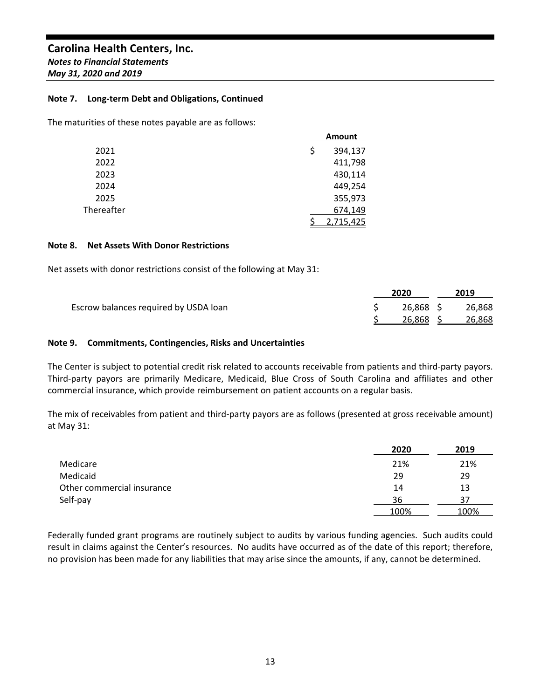#### **Note 7. Long‐term Debt and Obligations, Continued**

The maturities of these notes payable are as follows:

|            | Amount        |
|------------|---------------|
| 2021       | \$<br>394,137 |
| 2022       | 411,798       |
| 2023       | 430,114       |
| 2024       | 449,254       |
| 2025       | 355,973       |
| Thereafter | 674,149       |
|            | 2,715,425     |

#### **Note 8. Net Assets With Donor Restrictions**

Net assets with donor restrictions consist of the following at May 31:

|                                       | 2020 | 2019                |
|---------------------------------------|------|---------------------|
| Escrow balances required by USDA loan |      | 26,868<br>26,868 \$ |
|                                       |      | 26,868<br>26.868 S  |

#### **Note 9. Commitments, Contingencies, Risks and Uncertainties**

The Center is subject to potential credit risk related to accounts receivable from patients and third‐party payors. Third‐party payors are primarily Medicare, Medicaid, Blue Cross of South Carolina and affiliates and other commercial insurance, which provide reimbursement on patient accounts on a regular basis.

The mix of receivables from patient and third‐party payors are as follows (presented at gross receivable amount) at May 31:

|                            | 2020 | 2019 |
|----------------------------|------|------|
| Medicare                   | 21%  | 21%  |
| Medicaid                   | 29   | 29   |
| Other commercial insurance | 14   | 13   |
| Self-pay                   | 36   | 37   |
|                            | 100% | 100% |

Federally funded grant programs are routinely subject to audits by various funding agencies. Such audits could result in claims against the Center's resources. No audits have occurred as of the date of this report; therefore, no provision has been made for any liabilities that may arise since the amounts, if any, cannot be determined.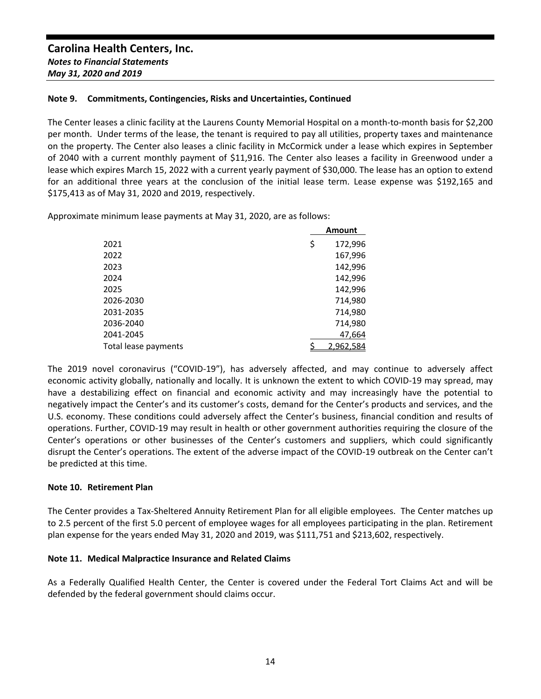#### **Note 9. Commitments, Contingencies, Risks and Uncertainties, Continued**

The Center leases a clinic facility at the Laurens County Memorial Hospital on a month‐to‐month basis for \$2,200 per month. Under terms of the lease, the tenant is required to pay all utilities, property taxes and maintenance on the property. The Center also leases a clinic facility in McCormick under a lease which expires in September of 2040 with a current monthly payment of \$11,916. The Center also leases a facility in Greenwood under a lease which expires March 15, 2022 with a current yearly payment of \$30,000. The lease has an option to extend for an additional three years at the conclusion of the initial lease term. Lease expense was \$192,165 and \$175,413 as of May 31, 2020 and 2019, respectively.

Approximate minimum lease payments at May 31, 2020, are as follows:

|                      | <b>Amount</b> |
|----------------------|---------------|
| 2021                 | \$<br>172,996 |
| 2022                 | 167,996       |
| 2023                 | 142,996       |
| 2024                 | 142,996       |
| 2025                 | 142,996       |
| 2026-2030            | 714,980       |
| 2031-2035            | 714,980       |
| 2036-2040            | 714,980       |
| 2041-2045            | 47,664        |
| Total lease payments | 2,962,584     |

The 2019 novel coronavirus ("COVID‐19"), has adversely affected, and may continue to adversely affect economic activity globally, nationally and locally. It is unknown the extent to which COVID‐19 may spread, may have a destabilizing effect on financial and economic activity and may increasingly have the potential to negatively impact the Center's and its customer's costs, demand for the Center's products and services, and the U.S. economy. These conditions could adversely affect the Center's business, financial condition and results of operations. Further, COVID‐19 may result in health or other government authorities requiring the closure of the Center's operations or other businesses of the Center's customers and suppliers, which could significantly disrupt the Center's operations. The extent of the adverse impact of the COVID‐19 outbreak on the Center can't be predicted at this time.

#### **Note 10. Retirement Plan**

The Center provides a Tax‐Sheltered Annuity Retirement Plan for all eligible employees. The Center matches up to 2.5 percent of the first 5.0 percent of employee wages for all employees participating in the plan. Retirement plan expense for the years ended May 31, 2020 and 2019, was \$111,751 and \$213,602, respectively.

#### **Note 11. Medical Malpractice Insurance and Related Claims**

As a Federally Qualified Health Center, the Center is covered under the Federal Tort Claims Act and will be defended by the federal government should claims occur.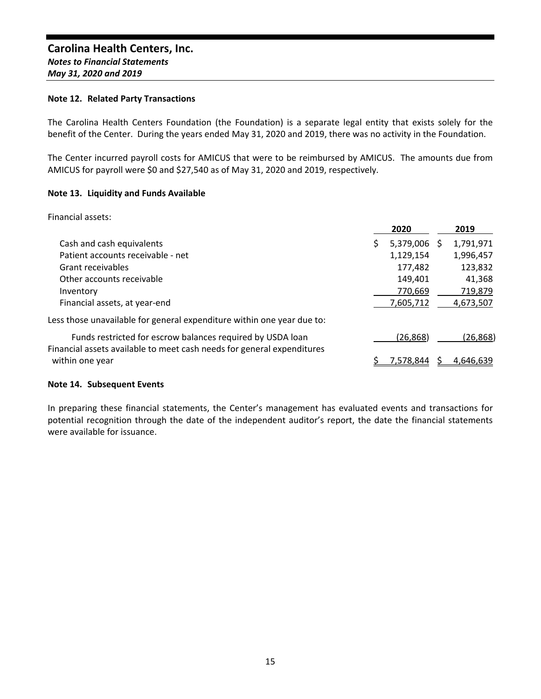#### **Note 12. Related Party Transactions**

The Carolina Health Centers Foundation (the Foundation) is a separate legal entity that exists solely for the benefit of the Center. During the years ended May 31, 2020 and 2019, there was no activity in the Foundation.

The Center incurred payroll costs for AMICUS that were to be reimbursed by AMICUS. The amounts due from AMICUS for payroll were \$0 and \$27,540 as of May 31, 2020 and 2019, respectively.

#### **Note 13. Liquidity and Funds Available**

| Financial assets:                                                      |    |           |    |           |
|------------------------------------------------------------------------|----|-----------|----|-----------|
|                                                                        |    | 2020      |    | 2019      |
| Cash and cash equivalents                                              | S. | 5,379,006 | -S | 1,791,971 |
| Patient accounts receivable - net                                      |    | 1,129,154 |    | 1,996,457 |
| Grant receivables                                                      |    | 177,482   |    | 123,832   |
| Other accounts receivable                                              |    | 149,401   |    | 41,368    |
| Inventory                                                              |    | 770.669   |    | 719,879   |
| Financial assets, at year-end                                          |    | 7,605,712 |    | 4,673,507 |
| Less those unavailable for general expenditure within one year due to: |    |           |    |           |
| Funds restricted for escrow balances required by USDA loan             |    | (26, 868) |    | (26,868)  |

## Financial assets available to meet cash needs for general expenditures within one year  $\frac{1}{2}$  or  $\frac{1}{2}$  or  $\frac{1}{2}$  or  $\frac{1}{2}$  or  $\frac{1}{2}$  or  $\frac{1}{2}$  or  $\frac{1}{2}$  or  $\frac{1}{2}$  or  $\frac{1}{2}$  or  $\frac{1}{2}$  or  $\frac{1}{2}$  or  $\frac{1}{2}$  or  $\frac{1}{2}$  or  $\frac{1}{2}$  or  $\frac{1}{2}$  or  $\frac{1}{2}$

#### **Note 14. Subsequent Events**

In preparing these financial statements, the Center's management has evaluated events and transactions for potential recognition through the date of the independent auditor's report, the date the financial statements were available for issuance.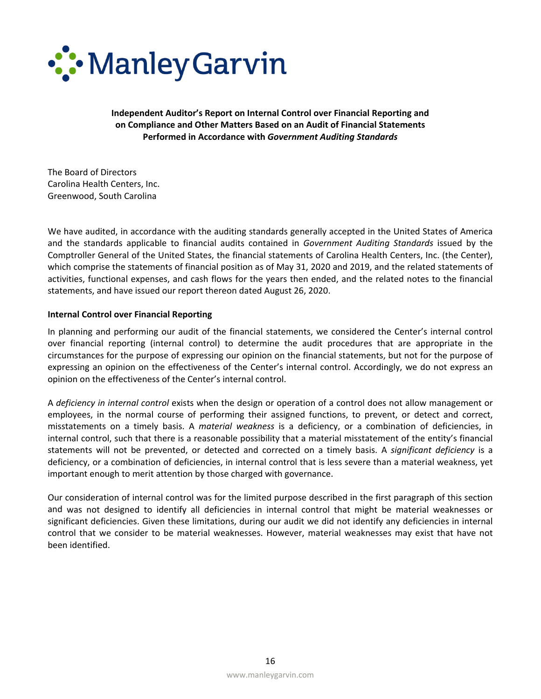

### **Independent Auditor's Report on Internal Control over Financial Reporting and on Compliance and Other Matters Based on an Audit of Financial Statements Performed in Accordance with** *Government Auditing Standards*

The Board of Directors Carolina Health Centers, Inc. Greenwood, South Carolina

We have audited, in accordance with the auditing standards generally accepted in the United States of America and the standards applicable to financial audits contained in *Government Auditing Standards* issued by the Comptroller General of the United States, the financial statements of Carolina Health Centers, Inc. (the Center), which comprise the statements of financial position as of May 31, 2020 and 2019, and the related statements of activities, functional expenses, and cash flows for the years then ended, and the related notes to the financial statements, and have issued our report thereon dated August 26, 2020.

#### **Internal Control over Financial Reporting**

In planning and performing our audit of the financial statements, we considered the Center's internal control over financial reporting (internal control) to determine the audit procedures that are appropriate in the circumstances for the purpose of expressing our opinion on the financial statements, but not for the purpose of expressing an opinion on the effectiveness of the Center's internal control. Accordingly, we do not express an opinion on the effectiveness of the Center's internal control.

A *deficiency in internal control* exists when the design or operation of a control does not allow management or employees, in the normal course of performing their assigned functions, to prevent, or detect and correct, misstatements on a timely basis. A *material weakness* is a deficiency, or a combination of deficiencies, in internal control, such that there is a reasonable possibility that a material misstatement of the entity's financial statements will not be prevented, or detected and corrected on a timely basis. A *significant deficiency* is a deficiency, or a combination of deficiencies, in internal control that is less severe than a material weakness, yet important enough to merit attention by those charged with governance.

Our consideration of internal control was for the limited purpose described in the first paragraph of this section and was not designed to identify all deficiencies in internal control that might be material weaknesses or significant deficiencies. Given these limitations, during our audit we did not identify any deficiencies in internal control that we consider to be material weaknesses. However, material weaknesses may exist that have not been identified.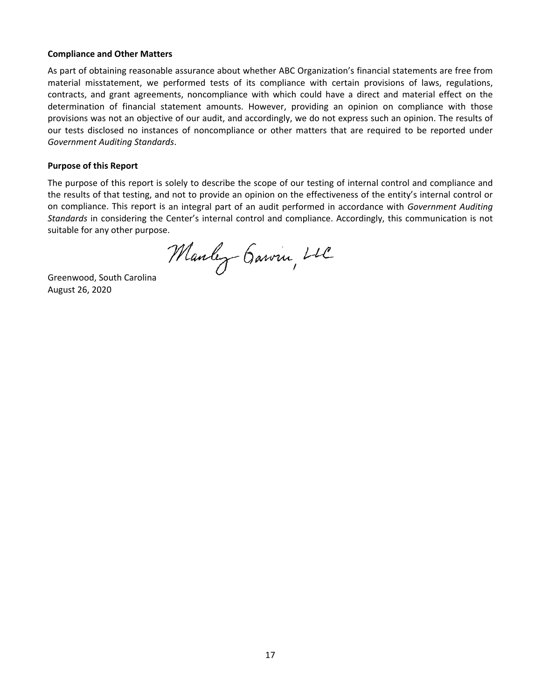#### **Compliance and Other Matters**

As part of obtaining reasonable assurance about whether ABC Organization's financial statements are free from material misstatement, we performed tests of its compliance with certain provisions of laws, regulations, contracts, and grant agreements, noncompliance with which could have a direct and material effect on the determination of financial statement amounts. However, providing an opinion on compliance with those provisions was not an objective of our audit, and accordingly, we do not express such an opinion. The results of our tests disclosed no instances of noncompliance or other matters that are required to be reported under *Government Auditing Standards*.

#### **Purpose of this Report**

The purpose of this report is solely to describe the scope of our testing of internal control and compliance and the results of that testing, and not to provide an opinion on the effectiveness of the entity's internal control or on compliance. This report is an integral part of an audit performed in accordance with *Government Auditing Standards* in considering the Center's internal control and compliance. Accordingly, this communication is not suitable for any other purpose.

Manley Gawin, LLC

Greenwood, South Carolina August 26, 2020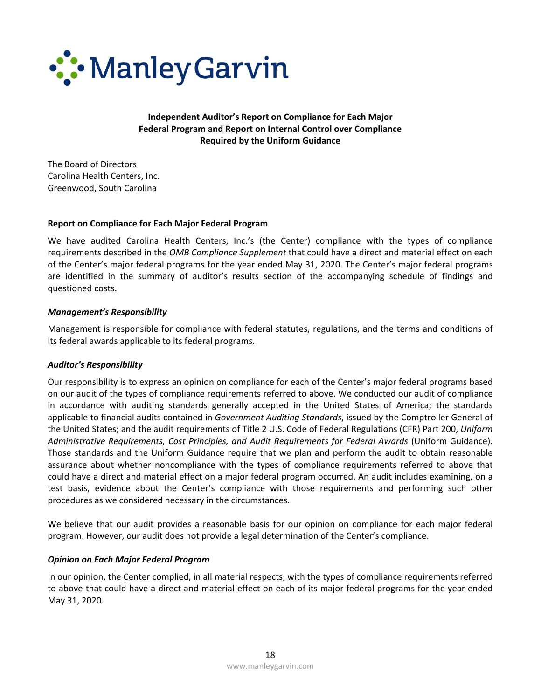

**Independent Auditor's Report on Compliance for Each Major Federal Program and Report on Internal Control over Compliance Required by the Uniform Guidance**

The Board of Directors Carolina Health Centers, Inc. Greenwood, South Carolina

#### **Report on Compliance for Each Major Federal Program**

We have audited Carolina Health Centers, Inc.'s (the Center) compliance with the types of compliance requirements described in the *OMB Compliance Supplement* that could have a direct and material effect on each of the Center's major federal programs for the year ended May 31, 2020. The Center's major federal programs are identified in the summary of auditor's results section of the accompanying schedule of findings and questioned costs.

#### *Management's Responsibility*

Management is responsible for compliance with federal statutes, regulations, and the terms and conditions of its federal awards applicable to its federal programs.

#### *Auditor's Responsibility*

Our responsibility is to express an opinion on compliance for each of the Center's major federal programs based on our audit of the types of compliance requirements referred to above. We conducted our audit of compliance in accordance with auditing standards generally accepted in the United States of America; the standards applicable to financial audits contained in *Government Auditing Standards*, issued by the Comptroller General of the United States; and the audit requirements of Title 2 U.S. Code of Federal Regulations (CFR) Part 200, *Uniform Administrative Requirements, Cost Principles, and Audit Requirements for Federal Awards* (Uniform Guidance). Those standards and the Uniform Guidance require that we plan and perform the audit to obtain reasonable assurance about whether noncompliance with the types of compliance requirements referred to above that could have a direct and material effect on a major federal program occurred. An audit includes examining, on a test basis, evidence about the Center's compliance with those requirements and performing such other procedures as we considered necessary in the circumstances.

We believe that our audit provides a reasonable basis for our opinion on compliance for each major federal program. However, our audit does not provide a legal determination of the Center's compliance.

#### *Opinion on Each Major Federal Program*

In our opinion, the Center complied, in all material respects, with the types of compliance requirements referred to above that could have a direct and material effect on each of its major federal programs for the year ended May 31, 2020.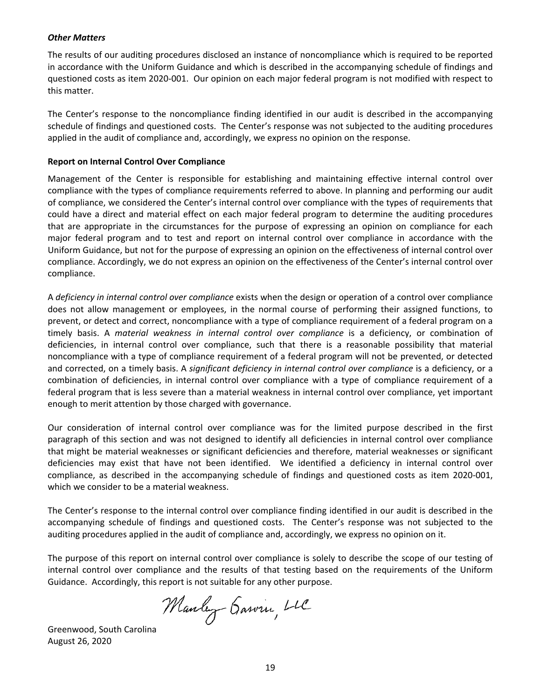#### *Other Matters*

The results of our auditing procedures disclosed an instance of noncompliance which is required to be reported in accordance with the Uniform Guidance and which is described in the accompanying schedule of findings and questioned costs as item 2020‐001. Our opinion on each major federal program is not modified with respect to this matter.

The Center's response to the noncompliance finding identified in our audit is described in the accompanying schedule of findings and questioned costs. The Center's response was not subjected to the auditing procedures applied in the audit of compliance and, accordingly, we express no opinion on the response.

#### **Report on Internal Control Over Compliance**

Management of the Center is responsible for establishing and maintaining effective internal control over compliance with the types of compliance requirements referred to above. In planning and performing our audit of compliance, we considered the Center's internal control over compliance with the types of requirements that could have a direct and material effect on each major federal program to determine the auditing procedures that are appropriate in the circumstances for the purpose of expressing an opinion on compliance for each major federal program and to test and report on internal control over compliance in accordance with the Uniform Guidance, but not for the purpose of expressing an opinion on the effectiveness of internal control over compliance. Accordingly, we do not express an opinion on the effectiveness of the Center's internal control over compliance.

A *deficiency in internal control over compliance* exists when the design or operation of a control over compliance does not allow management or employees, in the normal course of performing their assigned functions, to prevent, or detect and correct, noncompliance with a type of compliance requirement of a federal program on a timely basis. A *material weakness in internal control over compliance* is a deficiency, or combination of deficiencies, in internal control over compliance, such that there is a reasonable possibility that material noncompliance with a type of compliance requirement of a federal program will not be prevented, or detected and corrected, on a timely basis. A *significant deficiency in internal control over compliance* is a deficiency, or a combination of deficiencies, in internal control over compliance with a type of compliance requirement of a federal program that is less severe than a material weakness in internal control over compliance, yet important enough to merit attention by those charged with governance.

Our consideration of internal control over compliance was for the limited purpose described in the first paragraph of this section and was not designed to identify all deficiencies in internal control over compliance that might be material weaknesses or significant deficiencies and therefore, material weaknesses or significant deficiencies may exist that have not been identified. We identified a deficiency in internal control over compliance, as described in the accompanying schedule of findings and questioned costs as item 2020‐001, which we consider to be a material weakness.

The Center's response to the internal control over compliance finding identified in our audit is described in the accompanying schedule of findings and questioned costs. The Center's response was not subjected to the auditing procedures applied in the audit of compliance and, accordingly, we express no opinion on it.

The purpose of this report on internal control over compliance is solely to describe the scope of our testing of internal control over compliance and the results of that testing based on the requirements of the Uniform Guidance. Accordingly, this report is not suitable for any other purpose.

Manley Gawin, LLC

Greenwood, South Carolina August 26, 2020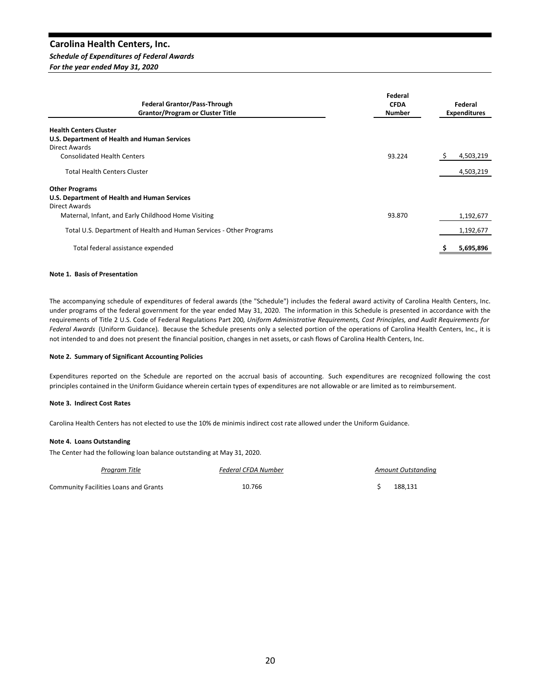#### **Carolina Health Centers, Inc.** *Schedule of Expenditures of Federal Awards*

*For the year ended May 31, 2020*

| <b>Federal Grantor/Pass-Through</b><br><b>Grantor/Program or Cluster Title</b> | Federal<br><b>CFDA</b><br><b>Number</b> | Federal<br><b>Expenditures</b> |           |
|--------------------------------------------------------------------------------|-----------------------------------------|--------------------------------|-----------|
| <b>Health Centers Cluster</b>                                                  |                                         |                                |           |
| U.S. Department of Health and Human Services                                   |                                         |                                |           |
| Direct Awards                                                                  |                                         |                                |           |
| <b>Consolidated Health Centers</b>                                             | 93.224                                  |                                | 4,503,219 |
| <b>Total Health Centers Cluster</b>                                            |                                         |                                | 4,503,219 |
| <b>Other Programs</b>                                                          |                                         |                                |           |
| U.S. Department of Health and Human Services<br>Direct Awards                  |                                         |                                |           |
| Maternal, Infant, and Early Childhood Home Visiting                            | 93.870                                  |                                | 1,192,677 |
| Total U.S. Department of Health and Human Services - Other Programs            |                                         |                                | 1,192,677 |
| Total federal assistance expended                                              |                                         |                                | 5,695,896 |

#### **Note 1. Basis of Presentation**

The accompanying schedule of expenditures of federal awards (the "Schedule") includes the federal award activity of Carolina Health Centers, Inc. under programs of the federal government for the year ended May 31, 2020. The information in this Schedule is presented in accordance with the requirements of Title 2 U.S. Code of Federal Regulations Part 200*, Uniform Administrative Requirements, Cost Principles, and Audit Requirements for Federal Awards* (Uniform Guidance)*.* Because the Schedule presents only a selected portion of the operations of Carolina Health Centers, Inc., it is not intended to and does not present the financial position, changes in net assets, or cash flows of Carolina Health Centers, Inc.

#### **Note 2. Summary of Significant Accounting Policies**

Expenditures reported on the Schedule are reported on the accrual basis of accounting. Such expenditures are recognized following the cost principles contained in the Uniform Guidance wherein certain types of expenditures are not allowable or are limited as to reimbursement.

#### **Note 3. Indirect Cost Rates**

Carolina Health Centers has not elected to use the 10% de minimis indirect cost rate allowed under the Uniform Guidance.

#### **Note 4. Loans Outstanding**

The Center had the following loan balance outstanding at May 31, 2020.

| Proaram Title                         | <b>Federal CFDA Number</b> | Amount Outstanding |
|---------------------------------------|----------------------------|--------------------|
| Community Facilities Loans and Grants | 10.766                     | 188.131            |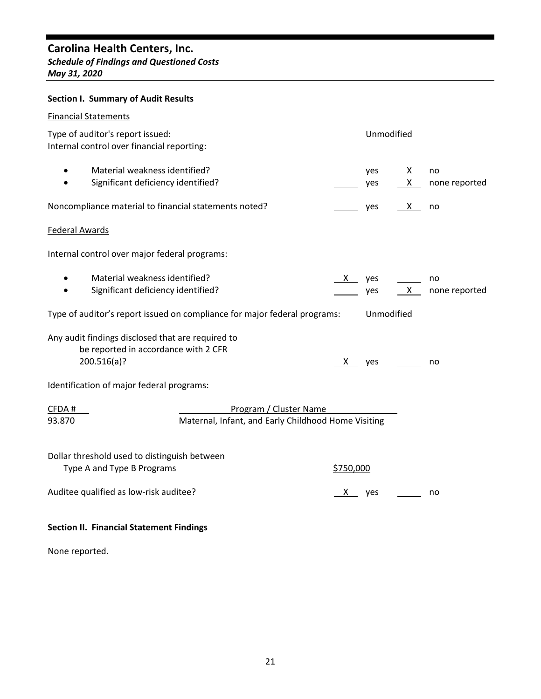*Schedule of Findings and Questioned Costs May 31, 2020*

| <b>Section I. Summary of Audit Results</b>                                                               |                |                                                        |
|----------------------------------------------------------------------------------------------------------|----------------|--------------------------------------------------------|
| <b>Financial Statements</b>                                                                              |                |                                                        |
| Type of auditor's report issued:<br>Internal control over financial reporting:                           |                | Unmodified                                             |
| Material weakness identified?<br>$\bullet$<br>Significant deficiency identified?<br>$\bullet$            | ___ yes<br>yes | $\frac{X}{Y}$ no<br>X<br>none reported                 |
| Noncompliance material to financial statements noted?                                                    | yes yes        | $\mathsf{X}$<br>no                                     |
| <b>Federal Awards</b>                                                                                    |                |                                                        |
| Internal control over major federal programs:                                                            |                |                                                        |
| Material weakness identified?<br>Significant deficiency identified?                                      | X yes<br>yes   | no<br>$\frac{\mathsf{X}}{\mathsf{X}}$<br>none reported |
| Type of auditor's report issued on compliance for major federal programs:                                |                | Unmodified                                             |
| Any audit findings disclosed that are required to<br>be reported in accordance with 2 CFR<br>200.516(a)? | X yes          | no                                                     |
| Identification of major federal programs:                                                                |                |                                                        |
| Program / Cluster Name<br>CFDA#<br>Maternal, Infant, and Early Childhood Home Visiting<br>93.870         |                |                                                        |
| Dollar threshold used to distinguish between<br>Type A and Type B Programs                               | \$750,000      |                                                        |
| Auditee qualified as low-risk auditee?                                                                   | X yes          | no                                                     |
| <b>Section II. Financial Statement Findings</b>                                                          |                |                                                        |

None reported.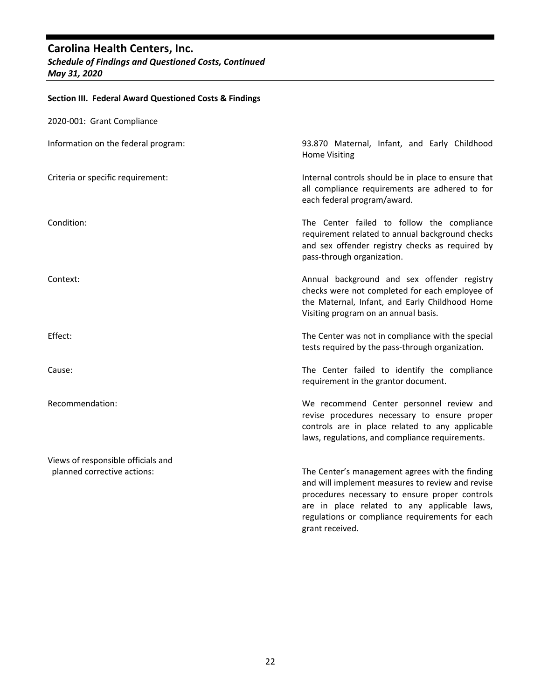*Schedule of Findings and Questioned Costs, Continued May 31, 2020*

| <b>Section III. Federal Award Questioned Costs &amp; Findings</b> |                                                                                                                                                                                                                                                                             |
|-------------------------------------------------------------------|-----------------------------------------------------------------------------------------------------------------------------------------------------------------------------------------------------------------------------------------------------------------------------|
| 2020-001: Grant Compliance                                        |                                                                                                                                                                                                                                                                             |
| Information on the federal program:                               | 93.870 Maternal, Infant, and Early Childhood<br><b>Home Visiting</b>                                                                                                                                                                                                        |
| Criteria or specific requirement:                                 | Internal controls should be in place to ensure that<br>all compliance requirements are adhered to for<br>each federal program/award.                                                                                                                                        |
| Condition:                                                        | The Center failed to follow the compliance<br>requirement related to annual background checks<br>and sex offender registry checks as required by<br>pass-through organization.                                                                                              |
| Context:                                                          | Annual background and sex offender registry<br>checks were not completed for each employee of<br>the Maternal, Infant, and Early Childhood Home<br>Visiting program on an annual basis.                                                                                     |
| Effect:                                                           | The Center was not in compliance with the special<br>tests required by the pass-through organization.                                                                                                                                                                       |
| Cause:                                                            | The Center failed to identify the compliance<br>requirement in the grantor document.                                                                                                                                                                                        |
| Recommendation:                                                   | We recommend Center personnel review and<br>revise procedures necessary to ensure proper<br>controls are in place related to any applicable<br>laws, regulations, and compliance requirements.                                                                              |
| Views of responsible officials and                                |                                                                                                                                                                                                                                                                             |
| planned corrective actions:                                       | The Center's management agrees with the finding<br>and will implement measures to review and revise<br>procedures necessary to ensure proper controls<br>are in place related to any applicable laws,<br>regulations or compliance requirements for each<br>grant received. |